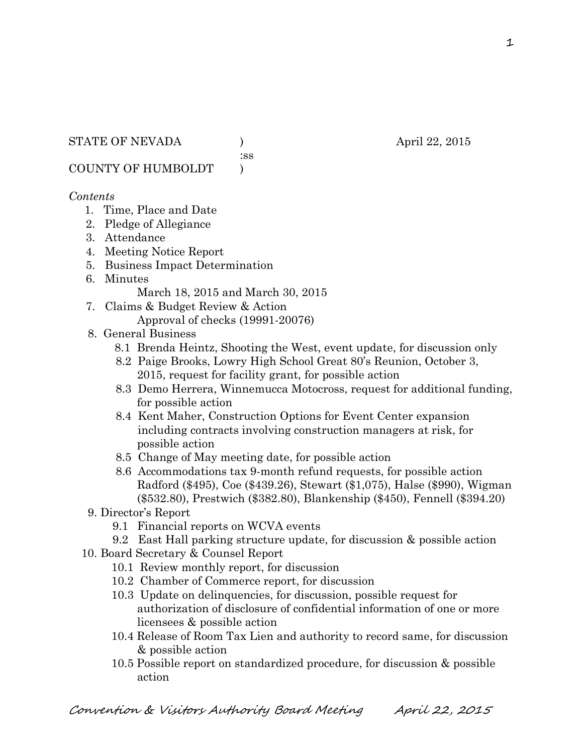:ss

COUNTY OF HUMBOLDT )

## *Contents*

- 1. Time, Place and Date
- 2. Pledge of Allegiance
- 3. Attendance
- 4. Meeting Notice Report
- 5. Business Impact Determination
- 6. Minutes

March 18, 2015 and March 30, 2015

- 7. Claims & Budget Review & Action Approval of checks (19991-20076)
- 8. General Business
	- 8.1 Brenda Heintz, Shooting the West, event update, for discussion only
	- 8.2 Paige Brooks, Lowry High School Great 80's Reunion, October 3, 2015, request for facility grant, for possible action
	- 8.3 Demo Herrera, Winnemucca Motocross, request for additional funding, for possible action
	- 8.4 Kent Maher, Construction Options for Event Center expansion including contracts involving construction managers at risk, for possible action
	- 8.5 Change of May meeting date, for possible action
	- 8.6 Accommodations tax 9-month refund requests, for possible action Radford (\$495), Coe (\$439.26), Stewart (\$1,075), Halse (\$990), Wigman (\$532.80), Prestwich (\$382.80), Blankenship (\$450), Fennell (\$394.20)
- 9. Director's Report
	- 9.1 Financial reports on WCVA events
	- 9.2 East Hall parking structure update, for discussion & possible action
- 10. Board Secretary & Counsel Report
	- 10.1 Review monthly report, for discussion
	- 10.2 Chamber of Commerce report, for discussion
	- 10.3 Update on delinquencies, for discussion, possible request for authorization of disclosure of confidential information of one or more licensees & possible action
	- 10.4 Release of Room Tax Lien and authority to record same, for discussion & possible action
	- 10.5 Possible report on standardized procedure, for discussion & possible action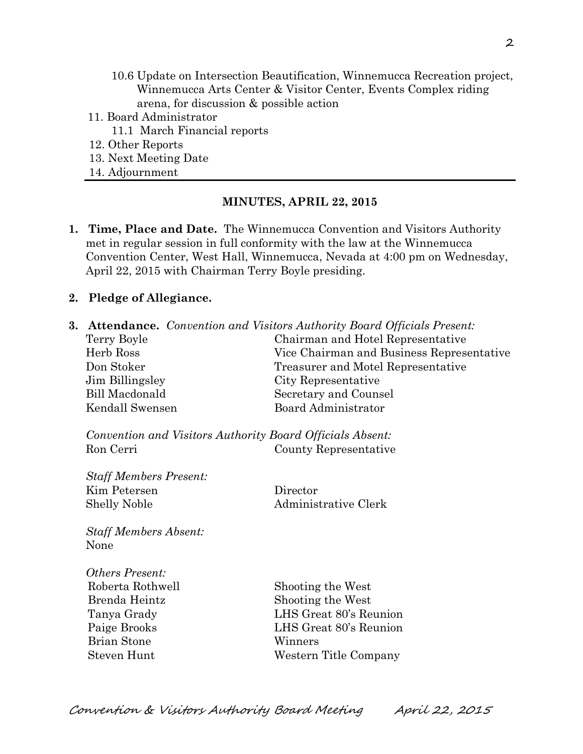- 10.6 Update on Intersection Beautification, Winnemucca Recreation project, Winnemucca Arts Center & Visitor Center, Events Complex riding arena, for discussion & possible action
- 11. Board Administrator
	- 11.1 March Financial reports
- 12. Other Reports
- 13. Next Meeting Date
- 14. Adjournment

#### **MINUTES, APRIL 22, 2015**

**1. Time, Place and Date.** The Winnemucca Convention and Visitors Authority met in regular session in full conformity with the law at the Winnemucca Convention Center, West Hall, Winnemucca, Nevada at 4:00 pm on Wednesday, April 22, 2015 with Chairman Terry Boyle presiding.

#### **2. Pledge of Allegiance.**

**3. Attendance.** *Convention and Visitors Authority Board Officials Present:* Terry Boyle Chairman and Hotel Representative Herb Ross Vice Chairman and Business Representative Don Stoker Treasurer and Motel Representative Jim Billingsley City Representative Bill Macdonald Secretary and Counsel Kendall Swensen Board Administrator *Convention and Visitors Authority Board Officials Absent:* Ron Cerri County Representative *Staff Members Present:* Kim Petersen Director Shelly Noble Administrative Clerk *Staff Members Absent:* None *Others Present:* Roberta Rothwell Shooting the West Brenda Heintz Shooting the West Tanya Grady LHS Great 80's Reunion Paige Brooks LHS Great 80's Reunion Brian Stone Winners Steven Hunt Western Title Company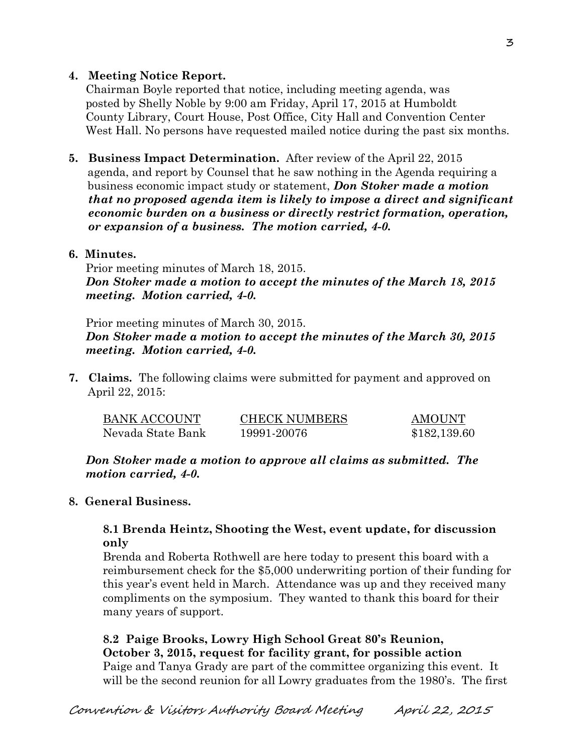### **4. Meeting Notice Report.**

Chairman Boyle reported that notice, including meeting agenda, was posted by Shelly Noble by 9:00 am Friday, April 17, 2015 at Humboldt County Library, Court House, Post Office, City Hall and Convention Center West Hall. No persons have requested mailed notice during the past six months.

**5. Business Impact Determination.** After review of the April 22, 2015 agenda, and report by Counsel that he saw nothing in the Agenda requiring a business economic impact study or statement, *Don Stoker made a motion that no proposed agenda item is likely to impose a direct and significant economic burden on a business or directly restrict formation, operation, or expansion of a business. The motion carried, 4-0.* 

### **6. Minutes.**

Prior meeting minutes of March 18, 2015. *Don Stoker made a motion to accept the minutes of the March 18, 2015 meeting. Motion carried, 4-0.* 

Prior meeting minutes of March 30, 2015. *Don Stoker made a motion to accept the minutes of the March 30, 2015 meeting. Motion carried, 4-0.* 

**7. Claims.** The following claims were submitted for payment and approved on April 22, 2015:

| <b>BANK ACCOUNT</b> | <b>CHECK NUMBERS</b> | <b>AMOUNT</b> |
|---------------------|----------------------|---------------|
| Nevada State Bank   | 19991-20076          | \$182,139.60  |

*Don Stoker made a motion to approve all claims as submitted. The motion carried, 4-0.* 

### **8. General Business.**

## **8.1 Brenda Heintz, Shooting the West, event update, for discussion only**

Brenda and Roberta Rothwell are here today to present this board with a reimbursement check for the \$5,000 underwriting portion of their funding for this year's event held in March. Attendance was up and they received many compliments on the symposium. They wanted to thank this board for their many years of support.

**8.2 Paige Brooks, Lowry High School Great 80's Reunion, October 3, 2015, request for facility grant, for possible action** Paige and Tanya Grady are part of the committee organizing this event. It will be the second reunion for all Lowry graduates from the 1980's. The first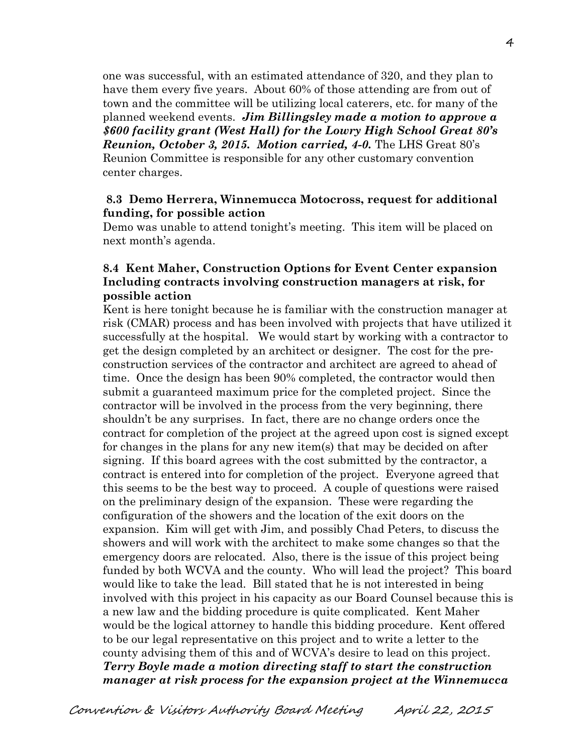one was successful, with an estimated attendance of 320, and they plan to have them every five years. About 60% of those attending are from out of town and the committee will be utilizing local caterers, etc. for many of the planned weekend events. *Jim Billingsley made a motion to approve a \$600 facility grant (West Hall) for the Lowry High School Great 80's Reunion, October 3, 2015. Motion carried, 4-0.* The LHS Great 80's Reunion Committee is responsible for any other customary convention center charges.

#### **8.3 Demo Herrera, Winnemucca Motocross, request for additional funding, for possible action**

Demo was unable to attend tonight's meeting. This item will be placed on next month's agenda.

#### **8.4 Kent Maher, Construction Options for Event Center expansion Including contracts involving construction managers at risk, for possible action**

Kent is here tonight because he is familiar with the construction manager at risk (CMAR) process and has been involved with projects that have utilized it successfully at the hospital. We would start by working with a contractor to get the design completed by an architect or designer. The cost for the preconstruction services of the contractor and architect are agreed to ahead of time. Once the design has been 90% completed, the contractor would then submit a guaranteed maximum price for the completed project. Since the contractor will be involved in the process from the very beginning, there shouldn't be any surprises. In fact, there are no change orders once the contract for completion of the project at the agreed upon cost is signed except for changes in the plans for any new item(s) that may be decided on after signing. If this board agrees with the cost submitted by the contractor, a contract is entered into for completion of the project. Everyone agreed that this seems to be the best way to proceed. A couple of questions were raised on the preliminary design of the expansion. These were regarding the configuration of the showers and the location of the exit doors on the expansion. Kim will get with Jim, and possibly Chad Peters, to discuss the showers and will work with the architect to make some changes so that the emergency doors are relocated. Also, there is the issue of this project being funded by both WCVA and the county. Who will lead the project? This board would like to take the lead. Bill stated that he is not interested in being involved with this project in his capacity as our Board Counsel because this is a new law and the bidding procedure is quite complicated. Kent Maher would be the logical attorney to handle this bidding procedure. Kent offered to be our legal representative on this project and to write a letter to the county advising them of this and of WCVA's desire to lead on this project. *Terry Boyle made a motion directing staff to start the construction manager at risk process for the expansion project at the Winnemucca* 

Convention & Visitors Authority Board Meeting April 22, 2015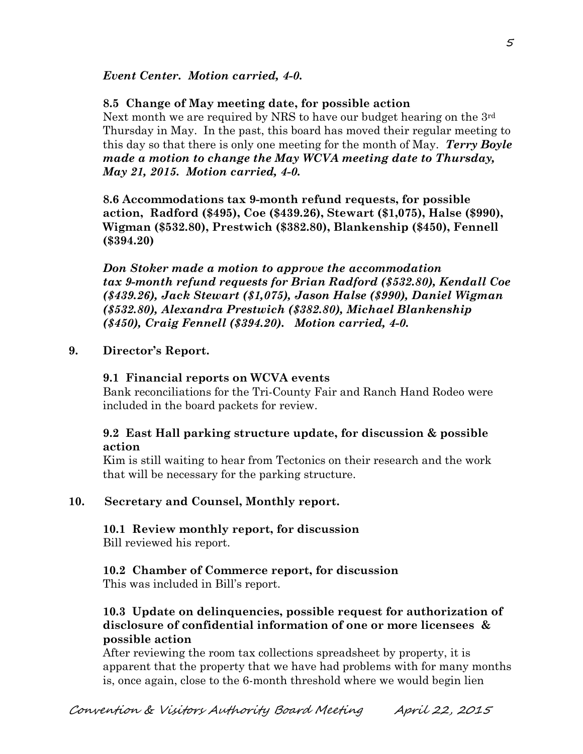*Event Center. Motion carried, 4-0.* 

# **8.5 Change of May meeting date, for possible action**

Next month we are required by NRS to have our budget hearing on the  $3<sup>rd</sup>$ Thursday in May. In the past, this board has moved their regular meeting to this day so that there is only one meeting for the month of May. *Terry Boyle made a motion to change the May WCVA meeting date to Thursday, May 21, 2015. Motion carried, 4-0.* 

**8.6 Accommodations tax 9-month refund requests, for possible action, Radford (\$495), Coe (\$439.26), Stewart (\$1,075), Halse (\$990), Wigman (\$532.80), Prestwich (\$382.80), Blankenship (\$450), Fennell (\$394.20)**

*Don Stoker made a motion to approve the accommodation tax 9-month refund requests for Brian Radford (\$532.80), Kendall Coe (\$439.26), Jack Stewart (\$1,075), Jason Halse (\$990), Daniel Wigman (\$532.80), Alexandra Prestwich (\$382.80), Michael Blankenship (\$450), Craig Fennell (\$394.20). Motion carried, 4-0.*

# **9. Director's Report.**

# **9.1 Financial reports on WCVA events**

Bank reconciliations for the Tri-County Fair and Ranch Hand Rodeo were included in the board packets for review.

## **9.2 East Hall parking structure update, for discussion & possible action**

Kim is still waiting to hear from Tectonics on their research and the work that will be necessary for the parking structure.

# **10. Secretary and Counsel, Monthly report.**

**10.1 Review monthly report, for discussion** Bill reviewed his report.

# **10.2 Chamber of Commerce report, for discussion**

This was included in Bill's report.

# **10.3 Update on delinquencies, possible request for authorization of disclosure of confidential information of one or more licensees & possible action**

After reviewing the room tax collections spreadsheet by property, it is apparent that the property that we have had problems with for many months is, once again, close to the 6-month threshold where we would begin lien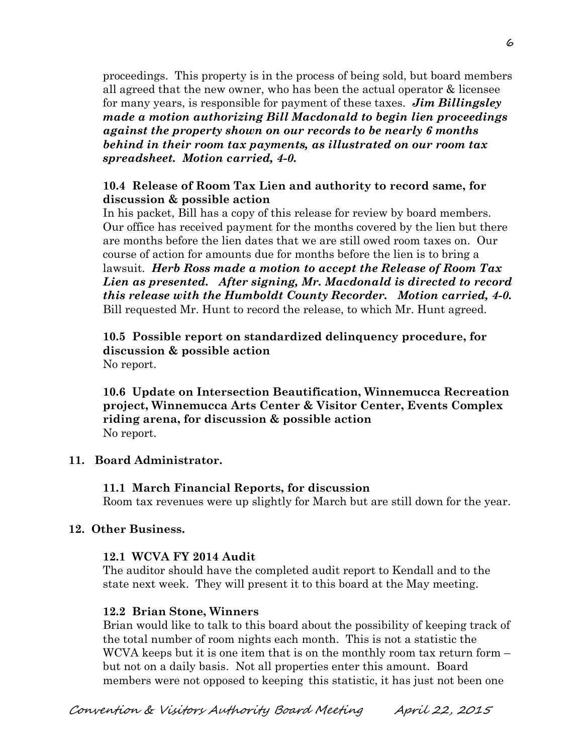proceedings. This property is in the process of being sold, but board members all agreed that the new owner, who has been the actual operator & licensee for many years, is responsible for payment of these taxes. *Jim Billingsley made a motion authorizing Bill Macdonald to begin lien proceedings against the property shown on our records to be nearly 6 months behind in their room tax payments, as illustrated on our room tax spreadsheet. Motion carried, 4-0.* 

### **10.4 Release of Room Tax Lien and authority to record same, for discussion & possible action**

In his packet, Bill has a copy of this release for review by board members. Our office has received payment for the months covered by the lien but there are months before the lien dates that we are still owed room taxes on. Our course of action for amounts due for months before the lien is to bring a lawsuit. *Herb Ross made a motion to accept the Release of Room Tax Lien as presented. After signing, Mr. Macdonald is directed to record this release with the Humboldt County Recorder. Motion carried, 4-0.*  Bill requested Mr. Hunt to record the release, to which Mr. Hunt agreed.

**10.5 Possible report on standardized delinquency procedure, for discussion & possible action** No report.

**10.6 Update on Intersection Beautification, Winnemucca Recreation project, Winnemucca Arts Center & Visitor Center, Events Complex riding arena, for discussion & possible action** No report.

### **11. Board Administrator.**

**11.1 March Financial Reports, for discussion** Room tax revenues were up slightly for March but are still down for the year.

# **12. Other Business.**

### **12.1 WCVA FY 2014 Audit**

The auditor should have the completed audit report to Kendall and to the state next week. They will present it to this board at the May meeting.

# **12.2 Brian Stone, Winners**

Brian would like to talk to this board about the possibility of keeping track of the total number of room nights each month. This is not a statistic the WCVA keeps but it is one item that is on the monthly room tax return form – but not on a daily basis. Not all properties enter this amount. Board members were not opposed to keeping this statistic, it has just not been one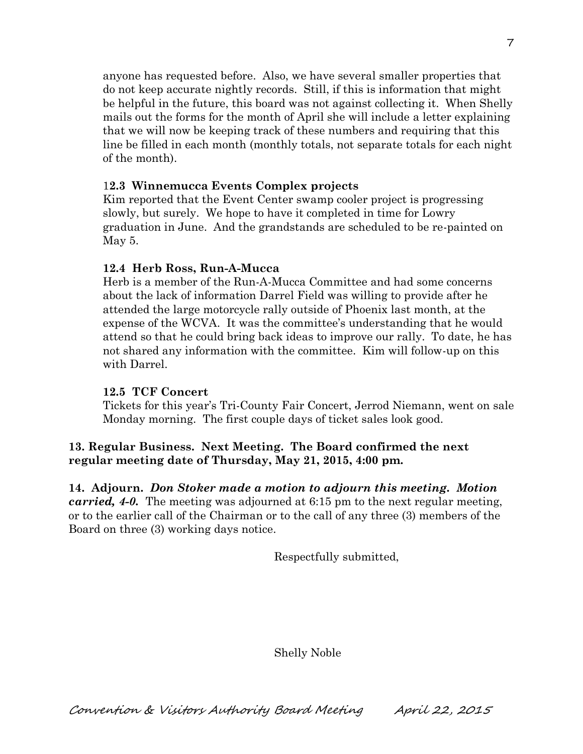anyone has requested before. Also, we have several smaller properties that do not keep accurate nightly records. Still, if this is information that might be helpful in the future, this board was not against collecting it. When Shelly mails out the forms for the month of April she will include a letter explaining that we will now be keeping track of these numbers and requiring that this line be filled in each month (monthly totals, not separate totals for each night of the month).

# 1**2.3 Winnemucca Events Complex projects**

Kim reported that the Event Center swamp cooler project is progressing slowly, but surely. We hope to have it completed in time for Lowry graduation in June. And the grandstands are scheduled to be re-painted on May 5.

## **12.4 Herb Ross, Run-A-Mucca**

Herb is a member of the Run-A-Mucca Committee and had some concerns about the lack of information Darrel Field was willing to provide after he attended the large motorcycle rally outside of Phoenix last month, at the expense of the WCVA. It was the committee's understanding that he would attend so that he could bring back ideas to improve our rally. To date, he has not shared any information with the committee. Kim will follow-up on this with Darrel.

### **12.5 TCF Concert**

Tickets for this year's Tri-County Fair Concert, Jerrod Niemann, went on sale Monday morning. The first couple days of ticket sales look good.

# **13. Regular Business. Next Meeting. The Board confirmed the next regular meeting date of Thursday, May 21, 2015, 4:00 pm.**

**14. Adjourn.** *Don Stoker made a motion to adjourn this meeting. Motion carried, 4-0.* The meeting was adjourned at 6:15 pm to the next regular meeting, or to the earlier call of the Chairman or to the call of any three (3) members of the Board on three (3) working days notice.

Respectfully submitted,

Shelly Noble